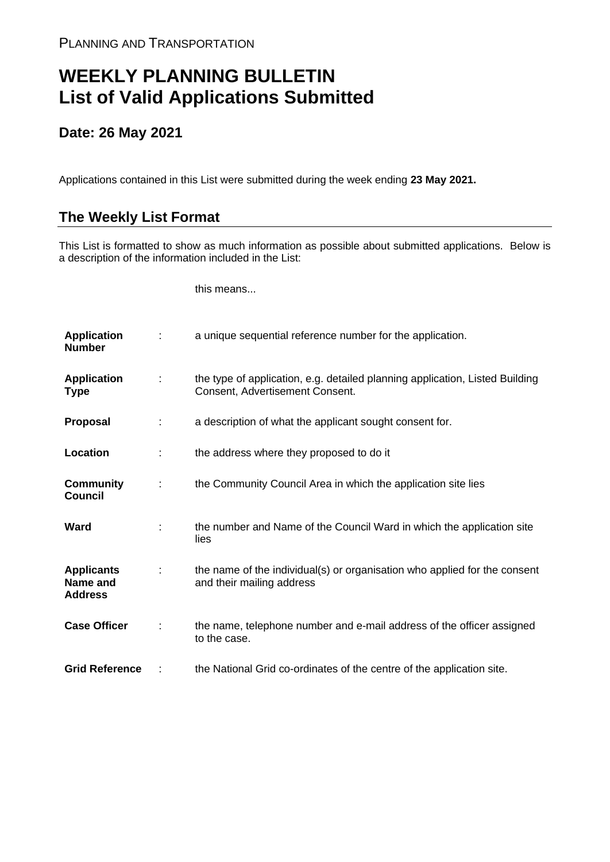## **WEEKLY PLANNING BULLETIN List of Valid Applications Submitted**

## **Date: 26 May 2021**

Applications contained in this List were submitted during the week ending **23 May 2021.**

## **The Weekly List Format**

This List is formatted to show as much information as possible about submitted applications. Below is a description of the information included in the List:

this means...

| <b>Application</b><br><b>Number</b>             |   | a unique sequential reference number for the application.                                                       |
|-------------------------------------------------|---|-----------------------------------------------------------------------------------------------------------------|
| <b>Application</b><br>Type                      | ÷ | the type of application, e.g. detailed planning application, Listed Building<br>Consent, Advertisement Consent. |
| <b>Proposal</b>                                 |   | a description of what the applicant sought consent for.                                                         |
| Location                                        |   | the address where they proposed to do it                                                                        |
| <b>Community</b><br><b>Council</b>              |   | the Community Council Area in which the application site lies                                                   |
| Ward                                            |   | the number and Name of the Council Ward in which the application site<br>lies                                   |
| <b>Applicants</b><br>Name and<br><b>Address</b> |   | the name of the individual(s) or organisation who applied for the consent<br>and their mailing address          |
| <b>Case Officer</b>                             |   | the name, telephone number and e-mail address of the officer assigned<br>to the case.                           |
| <b>Grid Reference</b>                           |   | the National Grid co-ordinates of the centre of the application site.                                           |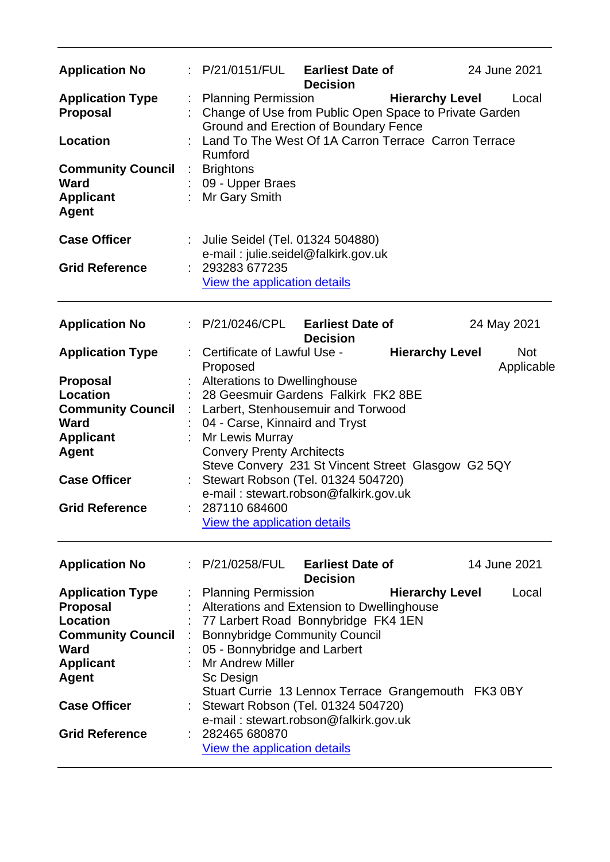| <b>Application No</b>                                                |   | P/21/0151/FUL                                                                                                                                                                                                                       | <b>Earliest Date of</b><br><b>Decision</b> |                        | 24 June 2021             |  |  |  |
|----------------------------------------------------------------------|---|-------------------------------------------------------------------------------------------------------------------------------------------------------------------------------------------------------------------------------------|--------------------------------------------|------------------------|--------------------------|--|--|--|
| <b>Application Type</b><br><b>Proposal</b>                           | ÷ | <b>Planning Permission</b><br><b>Hierarchy Level</b><br>Local<br>Change of Use from Public Open Space to Private Garden<br>Ground and Erection of Boundary Fence<br>Land To The West Of 1A Carron Terrace Carron Terrace<br>Rumford |                                            |                        |                          |  |  |  |
| <b>Location</b>                                                      |   |                                                                                                                                                                                                                                     |                                            |                        |                          |  |  |  |
| <b>Community Council</b><br>Ward<br><b>Applicant</b><br><b>Agent</b> | ÷ | <b>Brightons</b><br>09 - Upper Braes<br>Mr Gary Smith                                                                                                                                                                               |                                            |                        |                          |  |  |  |
| <b>Case Officer</b>                                                  |   | Julie Seidel (Tel. 01324 504880)<br>e-mail: julie.seidel@falkirk.gov.uk                                                                                                                                                             |                                            |                        |                          |  |  |  |
| <b>Grid Reference</b>                                                |   | 293283 677235<br>View the application details                                                                                                                                                                                       |                                            |                        |                          |  |  |  |
| <b>Application No</b>                                                |   | : P/21/0246/CPL                                                                                                                                                                                                                     | <b>Earliest Date of</b><br><b>Decision</b> |                        | 24 May 2021              |  |  |  |
| <b>Application Type</b>                                              |   | Certificate of Lawful Use -<br>Proposed                                                                                                                                                                                             |                                            | <b>Hierarchy Level</b> | <b>Not</b><br>Applicable |  |  |  |
| <b>Proposal</b>                                                      |   | <b>Alterations to Dwellinghouse</b>                                                                                                                                                                                                 |                                            |                        |                          |  |  |  |
| Location                                                             |   | 28 Geesmuir Gardens Falkirk FK2 8BE                                                                                                                                                                                                 |                                            |                        |                          |  |  |  |
| <b>Community Council</b>                                             |   | Larbert, Stenhousemuir and Torwood                                                                                                                                                                                                  |                                            |                        |                          |  |  |  |
| <b>Ward</b>                                                          |   | 04 - Carse, Kinnaird and Tryst                                                                                                                                                                                                      |                                            |                        |                          |  |  |  |
| <b>Applicant</b>                                                     |   | Mr Lewis Murray                                                                                                                                                                                                                     |                                            |                        |                          |  |  |  |
| <b>Agent</b>                                                         |   | <b>Convery Prenty Architects</b>                                                                                                                                                                                                    |                                            |                        |                          |  |  |  |
|                                                                      |   | Steve Convery 231 St Vincent Street Glasgow G2 5QY                                                                                                                                                                                  |                                            |                        |                          |  |  |  |
| <b>Case Officer</b>                                                  |   | Stewart Robson (Tel. 01324 504720)<br>e-mail: stewart.robson@falkirk.gov.uk                                                                                                                                                         |                                            |                        |                          |  |  |  |
| <b>Grid Reference</b>                                                |   | 287110 684600<br><b>View the application details</b>                                                                                                                                                                                |                                            |                        |                          |  |  |  |
| <b>Application No</b>                                                |   | : P/21/0258/FUL                                                                                                                                                                                                                     | <b>Earliest Date of</b><br><b>Decision</b> |                        | 14 June 2021             |  |  |  |
| <b>Application Type</b>                                              |   | <b>Planning Permission</b>                                                                                                                                                                                                          |                                            | <b>Hierarchy Level</b> | Local                    |  |  |  |
| <b>Proposal</b>                                                      |   | Alterations and Extension to Dwellinghouse                                                                                                                                                                                          |                                            |                        |                          |  |  |  |
| <b>Location</b>                                                      |   | 77 Larbert Road Bonnybridge FK4 1EN                                                                                                                                                                                                 |                                            |                        |                          |  |  |  |
| <b>Community Council</b>                                             |   | <b>Bonnybridge Community Council</b>                                                                                                                                                                                                |                                            |                        |                          |  |  |  |
| Ward                                                                 |   | 05 - Bonnybridge and Larbert                                                                                                                                                                                                        |                                            |                        |                          |  |  |  |
| <b>Applicant</b>                                                     |   | <b>Mr Andrew Miller</b>                                                                                                                                                                                                             |                                            |                        |                          |  |  |  |
| <b>Agent</b>                                                         |   | Sc Design                                                                                                                                                                                                                           |                                            |                        |                          |  |  |  |
|                                                                      |   | Stuart Currie 13 Lennox Terrace Grangemouth FK3 0BY                                                                                                                                                                                 |                                            |                        |                          |  |  |  |
| <b>Case Officer</b>                                                  |   | Stewart Robson (Tel. 01324 504720)                                                                                                                                                                                                  |                                            |                        |                          |  |  |  |
|                                                                      |   | e-mail: stewart.robson@falkirk.gov.uk                                                                                                                                                                                               |                                            |                        |                          |  |  |  |
| <b>Grid Reference</b>                                                |   | 282465 680870                                                                                                                                                                                                                       |                                            |                        |                          |  |  |  |
|                                                                      |   | View the application details                                                                                                                                                                                                        |                                            |                        |                          |  |  |  |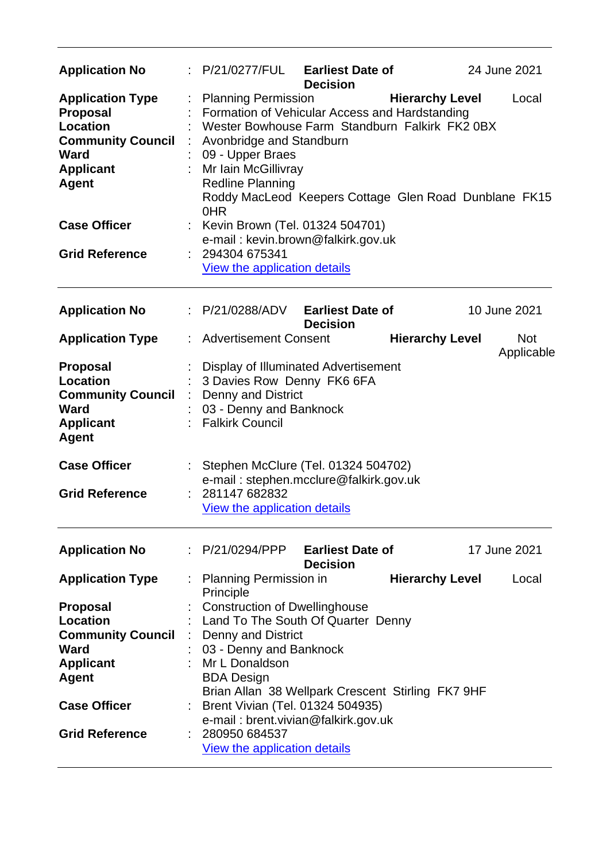| <b>Application No</b>                                                                                                                        |   | P/21/0277/FUL                                                                                                                                                                                                                                                                                    | <b>Earliest Date of</b><br><b>Decision</b> |                        | 24 June 2021             |
|----------------------------------------------------------------------------------------------------------------------------------------------|---|--------------------------------------------------------------------------------------------------------------------------------------------------------------------------------------------------------------------------------------------------------------------------------------------------|--------------------------------------------|------------------------|--------------------------|
| <b>Application Type</b><br><b>Proposal</b><br><b>Location</b><br><b>Community Council</b><br><b>Ward</b><br><b>Applicant</b><br><b>Agent</b> |   | <b>Planning Permission</b><br>Formation of Vehicular Access and Hardstanding<br>Wester Bowhouse Farm Standburn Falkirk FK2 0BX<br>Avonbridge and Standburn<br>09 - Upper Braes<br>Mr Iain McGillivray<br><b>Redline Planning</b><br>Roddy MacLeod Keepers Cottage Glen Road Dunblane FK15<br>0HR |                                            | <b>Hierarchy Level</b> | Local                    |
| <b>Case Officer</b>                                                                                                                          |   | Kevin Brown (Tel. 01324 504701)<br>e-mail: kevin.brown@falkirk.gov.uk                                                                                                                                                                                                                            |                                            |                        |                          |
| <b>Grid Reference</b>                                                                                                                        |   | 294304 675341<br>View the application details                                                                                                                                                                                                                                                    |                                            |                        |                          |
| <b>Application No</b>                                                                                                                        |   | P/21/0288/ADV                                                                                                                                                                                                                                                                                    | <b>Earliest Date of</b><br><b>Decision</b> |                        | 10 June 2021             |
| <b>Application Type</b>                                                                                                                      |   | <b>Advertisement Consent</b>                                                                                                                                                                                                                                                                     |                                            | <b>Hierarchy Level</b> | <b>Not</b><br>Applicable |
| <b>Proposal</b><br>Location<br><b>Community Council</b><br><b>Ward</b><br><b>Applicant</b><br>Agent                                          | ÷ | Display of Illuminated Advertisement<br>3 Davies Row Denny FK6 6FA<br><b>Denny and District</b><br>03 - Denny and Banknock<br><b>Falkirk Council</b>                                                                                                                                             |                                            |                        |                          |
| <b>Case Officer</b><br><b>Grid Reference</b>                                                                                                 |   | Stephen McClure (Tel. 01324 504702)<br>e-mail: stephen.mcclure@falkirk.gov.uk<br>281147 682832<br><b>View the application details</b>                                                                                                                                                            |                                            |                        |                          |
| <b>Application No</b>                                                                                                                        |   | : P/21/0294/PPP Earliest Date of                                                                                                                                                                                                                                                                 | <b>Decision</b>                            |                        | 17 June 2021             |
| <b>Application Type</b>                                                                                                                      |   | <b>Planning Permission in</b><br>Principle                                                                                                                                                                                                                                                       |                                            | <b>Hierarchy Level</b> | Local                    |
| <b>Proposal</b>                                                                                                                              |   | <b>Construction of Dwellinghouse</b>                                                                                                                                                                                                                                                             |                                            |                        |                          |
| <b>Location</b>                                                                                                                              |   | Land To The South Of Quarter Denny                                                                                                                                                                                                                                                               |                                            |                        |                          |
| <b>Community Council</b>                                                                                                                     |   | Denny and District                                                                                                                                                                                                                                                                               |                                            |                        |                          |
| <b>Ward</b>                                                                                                                                  |   | 03 - Denny and Banknock                                                                                                                                                                                                                                                                          |                                            |                        |                          |
| <b>Applicant</b>                                                                                                                             |   | Mr L Donaldson                                                                                                                                                                                                                                                                                   |                                            |                        |                          |
| Agent                                                                                                                                        |   | <b>BDA Design</b>                                                                                                                                                                                                                                                                                |                                            |                        |                          |
|                                                                                                                                              |   | Brian Allan 38 Wellpark Crescent Stirling FK7 9HF                                                                                                                                                                                                                                                |                                            |                        |                          |
| <b>Case Officer</b>                                                                                                                          |   | Brent Vivian (Tel. 01324 504935)                                                                                                                                                                                                                                                                 |                                            |                        |                          |
|                                                                                                                                              |   | e-mail: brent.vivian@falkirk.gov.uk                                                                                                                                                                                                                                                              |                                            |                        |                          |
| <b>Grid Reference</b>                                                                                                                        |   | 280950 684537                                                                                                                                                                                                                                                                                    |                                            |                        |                          |
|                                                                                                                                              |   | View the application details                                                                                                                                                                                                                                                                     |                                            |                        |                          |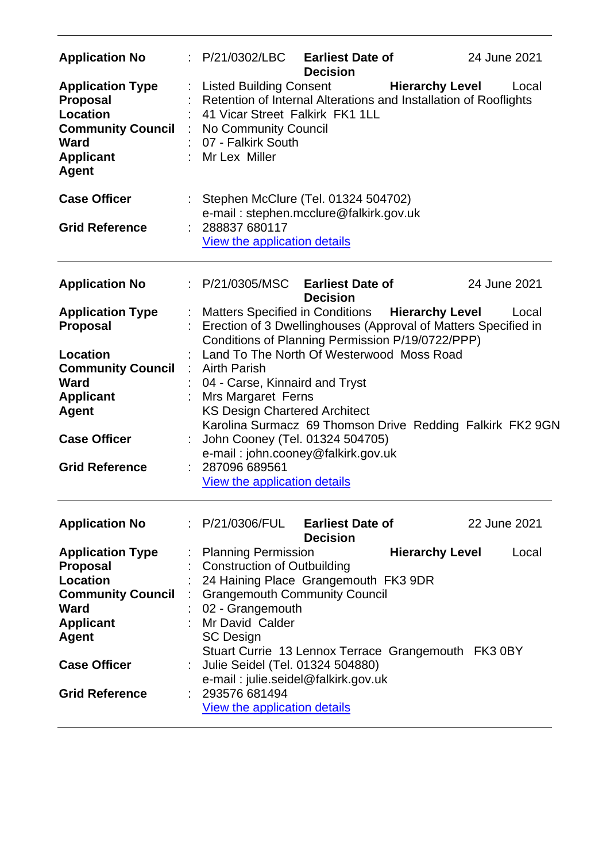| <b>Application No</b>                                                                                                                                                                 | $\therefore$ P/21/0302/LBC Earliest Date of                                                                                                                                                                                                                                                                                                                                                             | <b>Decision</b>                            |                        | 24 June 2021                                              |
|---------------------------------------------------------------------------------------------------------------------------------------------------------------------------------------|---------------------------------------------------------------------------------------------------------------------------------------------------------------------------------------------------------------------------------------------------------------------------------------------------------------------------------------------------------------------------------------------------------|--------------------------------------------|------------------------|-----------------------------------------------------------|
| <b>Application Type</b><br><b>Proposal</b><br>Location<br><b>Community Council</b><br>Ward<br><b>Applicant</b><br><b>Agent</b>                                                        | Listed Building Consent<br>Retention of Internal Alterations and Installation of Rooflights<br>41 Vicar Street Falkirk FK1 1LL<br>: No Community Council<br>07 - Falkirk South<br>: Mr Lex Miller                                                                                                                                                                                                       |                                            | <b>Hierarchy Level</b> | Local                                                     |
| <b>Case Officer</b><br><b>Grid Reference</b>                                                                                                                                          | : Stephen McClure (Tel. 01324 504702)<br>e-mail: stephen.mcclure@falkirk.gov.uk<br>288837 680117<br>View the application details                                                                                                                                                                                                                                                                        |                                            |                        |                                                           |
| <b>Application No</b>                                                                                                                                                                 | P/21/0305/MSC                                                                                                                                                                                                                                                                                                                                                                                           | <b>Earliest Date of</b><br><b>Decision</b> |                        | 24 June 2021                                              |
| <b>Application Type</b><br><b>Proposal</b>                                                                                                                                            | Matters Specified in Conditions Hierarchy Level<br>Erection of 3 Dwellinghouses (Approval of Matters Specified in<br>Conditions of Planning Permission P/19/0722/PPP)                                                                                                                                                                                                                                   |                                            |                        | Local                                                     |
| Location<br><b>Community Council</b><br><b>Ward</b><br><b>Applicant</b><br><b>Agent</b><br><b>Case Officer</b><br><b>Grid Reference</b>                                               | Land To The North Of Westerwood Moss Road<br><b>Airth Parish</b><br>04 - Carse, Kinnaird and Tryst<br><b>Mrs Margaret Ferns</b><br><b>KS Design Chartered Architect</b><br>John Cooney (Tel. 01324 504705)<br>e-mail: john.cooney@falkirk.gov.uk<br>287096 689561<br>View the application details                                                                                                       |                                            |                        | Karolina Surmacz 69 Thomson Drive Redding Falkirk FK2 9GN |
| <b>Application No</b>                                                                                                                                                                 | : P/21/0306/FUL Earliest Date of                                                                                                                                                                                                                                                                                                                                                                        | <b>Decision</b>                            |                        | 22 June 2021                                              |
| <b>Application Type</b><br><b>Proposal</b><br><b>Location</b><br><b>Community Council</b><br><b>Ward</b><br><b>Applicant</b><br>Agent<br><b>Case Officer</b><br><b>Grid Reference</b> | <b>Planning Permission</b><br><b>Construction of Outbuilding</b><br>24 Haining Place Grangemouth FK3 9DR<br><b>Grangemouth Community Council</b><br>02 - Grangemouth<br>: Mr David Calder<br><b>SC Design</b><br>Stuart Currie 13 Lennox Terrace Grangemouth FK3 0BY<br>Julie Seidel (Tel. 01324 504880)<br>e-mail: julie.seidel@falkirk.gov.uk<br>293576 681494<br><b>View the application details</b> |                                            | <b>Hierarchy Level</b> | Local                                                     |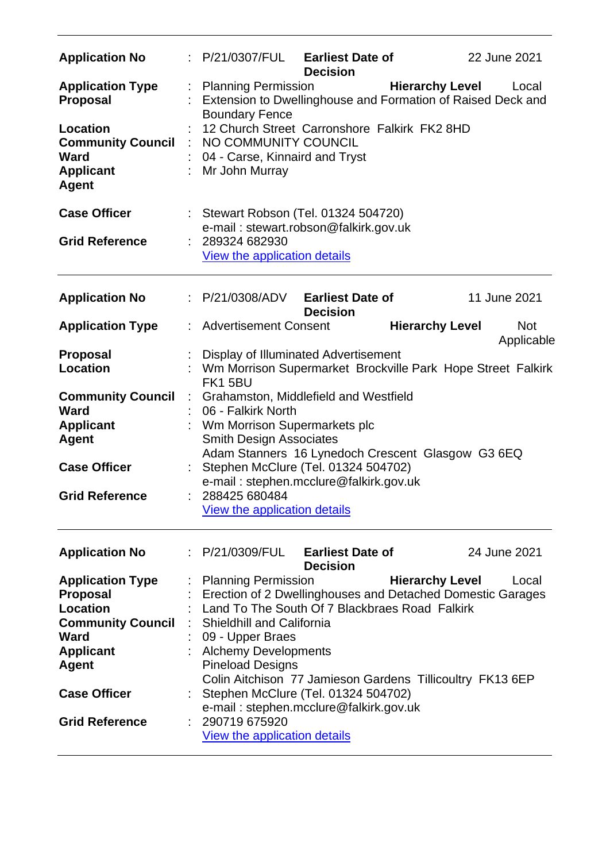| <b>Application No</b>                                                   |   | : P/21/0307/FUL Earliest Date of                                                                                         | <b>Decision</b>                            |                        | 22 June 2021             |  |  |
|-------------------------------------------------------------------------|---|--------------------------------------------------------------------------------------------------------------------------|--------------------------------------------|------------------------|--------------------------|--|--|
| <b>Application Type</b><br><b>Proposal</b>                              |   | <b>Planning Permission</b><br>Extension to Dwellinghouse and Formation of Raised Deck and<br><b>Boundary Fence</b>       |                                            | <b>Hierarchy Level</b> | Local                    |  |  |
| Location<br><b>Community Council</b><br><b>Ward</b><br><b>Applicant</b> |   | 12 Church Street Carronshore Falkirk FK2 8HD<br>NO COMMUNITY COUNCIL<br>04 - Carse, Kinnaird and Tryst<br>Mr John Murray |                                            |                        |                          |  |  |
| <b>Agent</b>                                                            |   |                                                                                                                          |                                            |                        |                          |  |  |
| <b>Case Officer</b>                                                     |   | Stewart Robson (Tel. 01324 504720)<br>e-mail: stewart.robson@falkirk.gov.uk                                              |                                            |                        |                          |  |  |
| <b>Grid Reference</b>                                                   |   | 289324 682930<br>View the application details                                                                            |                                            |                        |                          |  |  |
| <b>Application No</b>                                                   |   | : P/21/0308/ADV                                                                                                          | <b>Earliest Date of</b><br><b>Decision</b> |                        | 11 June 2021             |  |  |
| <b>Application Type</b>                                                 |   | <b>Advertisement Consent</b>                                                                                             |                                            | <b>Hierarchy Level</b> | <b>Not</b><br>Applicable |  |  |
| <b>Proposal</b><br><b>Location</b>                                      |   | Display of Illuminated Advertisement<br>Wm Morrison Supermarket Brockville Park Hope Street Falkirk<br>FK15BU            |                                            |                        |                          |  |  |
| <b>Community Council</b><br>Ward                                        | ÷ | Grahamston, Middlefield and Westfield<br>06 - Falkirk North                                                              |                                            |                        |                          |  |  |
| <b>Applicant</b><br><b>Agent</b>                                        |   | Wm Morrison Supermarkets plc<br><b>Smith Design Associates</b><br>Adam Stanners 16 Lynedoch Crescent Glasgow G3 6EQ      |                                            |                        |                          |  |  |
| <b>Case Officer</b>                                                     |   | Stephen McClure (Tel. 01324 504702)<br>e-mail: stephen.mcclure@falkirk.gov.uk                                            |                                            |                        |                          |  |  |
| <b>Grid Reference</b>                                                   |   | 288425 680484<br><b>View the application details</b>                                                                     |                                            |                        |                          |  |  |
| <b>Application No</b>                                                   |   | P/21/0309/FUL                                                                                                            | <b>Earliest Date of</b><br><b>Decision</b> |                        | 24 June 2021             |  |  |
| <b>Application Type</b><br><b>Proposal</b>                              |   | <b>Planning Permission</b><br>Erection of 2 Dwellinghouses and Detached Domestic Garages                                 |                                            | <b>Hierarchy Level</b> | Local                    |  |  |
| <b>Location</b>                                                         |   | Land To The South Of 7 Blackbraes Road Falkirk                                                                           |                                            |                        |                          |  |  |
| <b>Community Council</b><br><b>Ward</b>                                 |   | Shieldhill and California                                                                                                |                                            |                        |                          |  |  |
| <b>Applicant</b>                                                        |   | 09 - Upper Braes<br><b>Alchemy Developments</b>                                                                          |                                            |                        |                          |  |  |
| <b>Agent</b>                                                            |   | <b>Pineload Designs</b>                                                                                                  |                                            |                        |                          |  |  |
|                                                                         |   | Colin Aitchison 77 Jamieson Gardens Tillicoultry FK13 6EP                                                                |                                            |                        |                          |  |  |
| <b>Case Officer</b>                                                     |   | Stephen McClure (Tel. 01324 504702)                                                                                      |                                            |                        |                          |  |  |
| <b>Grid Reference</b>                                                   |   | e-mail: stephen.mcclure@falkirk.gov.uk<br>290719 675920                                                                  |                                            |                        |                          |  |  |
|                                                                         |   | View the application details                                                                                             |                                            |                        |                          |  |  |